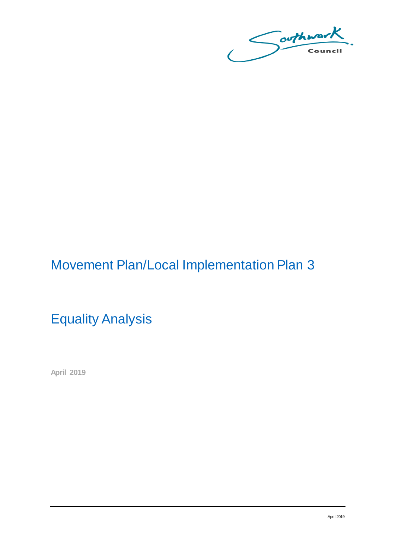Southward

# Movement Plan/Local Implementation Plan 3

Equality Analysis

**April 2019**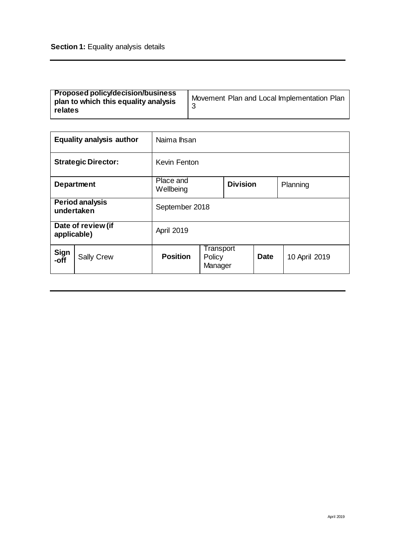|                                      | <b>Equality analysis author</b> | Naima Ihsan            |                                |                 |             |               |
|--------------------------------------|---------------------------------|------------------------|--------------------------------|-----------------|-------------|---------------|
|                                      | <b>Strategic Director:</b>      | Kevin Fenton           |                                |                 |             |               |
|                                      | <b>Department</b>               | Place and<br>Wellbeing |                                | <b>Division</b> |             | Planning      |
| <b>Period analysis</b><br>undertaken |                                 | September 2018         |                                |                 |             |               |
| Date of review (if<br>applicable)    |                                 | April 2019             |                                |                 |             |               |
| Sign<br>-off                         | <b>Sally Crew</b>               | <b>Position</b>        | Transport<br>Policy<br>Manager |                 | <b>Date</b> | 10 April 2019 |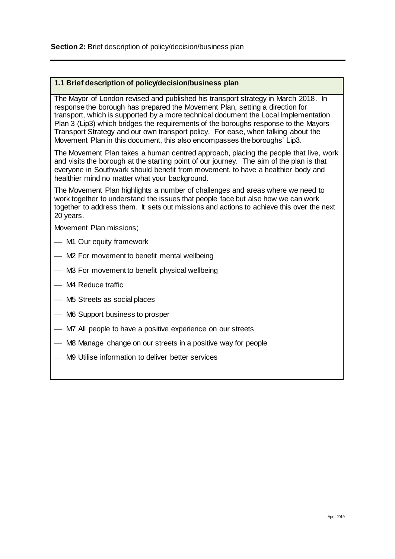#### **1.1 Brief description of policy/decision/business plan**

The Mayor of London revised and published his transport strategy in March 2018. In response the borough has prepared the Movement Plan, setting a direction for transport, which is supported by a more technical document the Local Implementation Plan 3 (Lip3) which bridges the requirements of the boroughs response to the Mayors Transport Strategy and our own transport policy. For ease, when talking about the Movement Plan in this document, this also encompasses the boroughs' Lip3.

The Movement Plan takes a human centred approach, placing the people that live, work and visits the borough at the starting point of our journey. The aim of the plan is that everyone in Southwark should benefit from movement, to have a healthier body and healthier mind no matter what your background.

The Movement Plan highlights a number of challenges and areas where we need to work together to understand the issues that people face but also how we can work together to address them. It sets out missions and actions to achieve this over the next 20 years.

Movement Plan missions;

- M1 Our equity framework
- M2 For movement to benefit mental wellbeing
- M3 For movement to benefit physical wellbeing
- M4 Reduce traffic
- M5 Streets as social places
- M6 Support business to prosper
- $-$  M7 All people to have a positive experience on our streets
- M8 Manage change on our streets in a positive way for people
- M9 Utilise information to deliver better services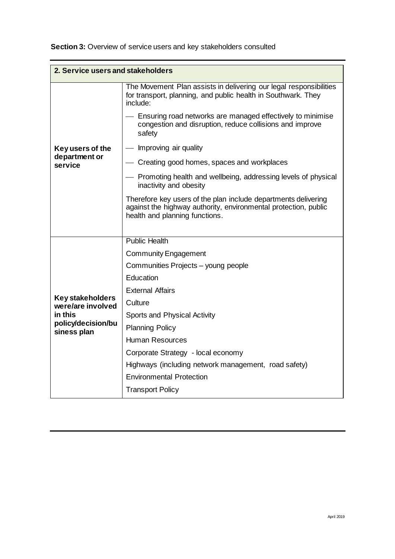| Section 3: Overview of service users and key stakeholders consulted |  |  |  |
|---------------------------------------------------------------------|--|--|--|
|---------------------------------------------------------------------|--|--|--|

| 2. Service users and stakeholders            |                                                                                                                                                                     |  |  |
|----------------------------------------------|---------------------------------------------------------------------------------------------------------------------------------------------------------------------|--|--|
|                                              | The Movement Plan assists in delivering our legal responsibilities<br>for transport, planning, and public health in Southwark. They<br>include:                     |  |  |
|                                              | - Ensuring road networks are managed effectively to minimise<br>congestion and disruption, reduce collisions and improve<br>safety                                  |  |  |
| Key users of the                             | — Improving air quality                                                                                                                                             |  |  |
| department or<br>service                     | - Creating good homes, spaces and workplaces                                                                                                                        |  |  |
|                                              | Promoting health and wellbeing, addressing levels of physical<br>inactivity and obesity                                                                             |  |  |
|                                              | Therefore key users of the plan include departments delivering<br>against the highway authority, environmental protection, public<br>health and planning functions. |  |  |
|                                              |                                                                                                                                                                     |  |  |
|                                              | <b>Public Health</b>                                                                                                                                                |  |  |
|                                              | <b>Community Engagement</b>                                                                                                                                         |  |  |
|                                              | Communities Projects - young people                                                                                                                                 |  |  |
|                                              | Education                                                                                                                                                           |  |  |
|                                              | <b>External Affairs</b>                                                                                                                                             |  |  |
| <b>Key stakeholders</b><br>were/are involved | Culture                                                                                                                                                             |  |  |
| in this                                      | Sports and Physical Activity                                                                                                                                        |  |  |
| policy/decision/bu<br>siness plan            | <b>Planning Policy</b>                                                                                                                                              |  |  |
|                                              | <b>Human Resources</b>                                                                                                                                              |  |  |
|                                              | Corporate Strategy - local economy                                                                                                                                  |  |  |
|                                              | Highways (including network management, road safety)                                                                                                                |  |  |
|                                              | <b>Environmental Protection</b>                                                                                                                                     |  |  |
|                                              | <b>Transport Policy</b>                                                                                                                                             |  |  |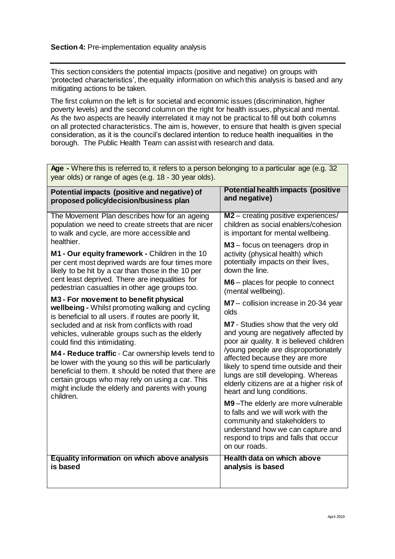This section considers the potential impacts (positive and negative) on groups with 'protected characteristics', the equality information on which this analysis is based and any mitigating actions to be taken.

The first column on the left is for societal and economic issues (discrimination, higher poverty levels) and the second column on the right for health issues, physical and mental. As the two aspects are heavily interrelated it may not be practical to fill out both columns on all protected characteristics. The aim is, however, to ensure that health is given special consideration, as it is the council's declared intention to reduce health inequalities in the borough. The Public Health Team can assist with research and data.

| year olds) or range or ages (e.g. 18 - 30 year olds).                                                                                                                                                                                                                                                                     |                                                                                                                                                                                                                                   |
|---------------------------------------------------------------------------------------------------------------------------------------------------------------------------------------------------------------------------------------------------------------------------------------------------------------------------|-----------------------------------------------------------------------------------------------------------------------------------------------------------------------------------------------------------------------------------|
| Potential impacts (positive and negative) of<br>proposed policy/decision/business plan                                                                                                                                                                                                                                    | <b>Potential health impacts (positive</b><br>and negative)                                                                                                                                                                        |
| The Movement Plan describes how for an ageing<br>population we need to create streets that are nicer<br>to walk and cycle, are more accessible and<br>healthier.                                                                                                                                                          | M2 - creating positive experiences/<br>children as social enablers/cohesion<br>is important for mental wellbeing.                                                                                                                 |
| M1 - Our equity framework - Children in the 10<br>per cent most deprived wards are four times more<br>likely to be hit by a car than those in the 10 per                                                                                                                                                                  | M3 – focus on teenagers drop in<br>activity (physical health) which<br>potentially impacts on their lives,<br>down the line.                                                                                                      |
| cent least deprived. There are inequalities for<br>pedestrian casualties in other age groups too.                                                                                                                                                                                                                         | $M6$ – places for people to connect<br>(mental wellbeing).                                                                                                                                                                        |
| M3 - For movement to benefit physical<br>wellbeing - Whilst promoting walking and cycling<br>is beneficial to all users. if routes are poorly lit,                                                                                                                                                                        | M7 - collision increase in 20-34 year<br>olds                                                                                                                                                                                     |
| secluded and at risk from conflicts with road<br>vehicles, vulnerable groups such as the elderly                                                                                                                                                                                                                          | M7 - Studies show that the very old<br>and young are negatively affected by<br>poor air quality. It is believed children                                                                                                          |
| could find this intimidating.<br>M4 - Reduce traffic - Car ownership levels tend to<br>be lower with the young so this will be particularly<br>beneficial to them. It should be noted that there are<br>certain groups who may rely on using a car. This<br>might include the elderly and parents with young<br>children. | /young people are disproportionately<br>affected because they are more<br>likely to spend time outside and their<br>lungs are still developing. Whereas<br>elderly citizens are at a higher risk of<br>heart and lung conditions. |
|                                                                                                                                                                                                                                                                                                                           | M9-The elderly are more vulnerable<br>to falls and we will work with the<br>community and stakeholders to<br>understand how we can capture and<br>respond to trips and falls that occur<br>on our roads.                          |
| <b>Equality information on which above analysis</b><br>is based                                                                                                                                                                                                                                                           | Health data on which above<br>analysis is based                                                                                                                                                                                   |

Age - Where this is referred to, it refers to a person belonging to a particular age (e.g. 32)  $\epsilon$  or  $\epsilon$  or  $\epsilon$  18  $\epsilon$  30  $\epsilon$   $\epsilon$  30  $\epsilon$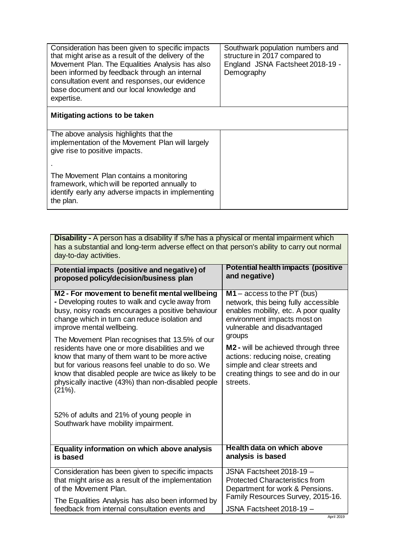| Consideration has been given to specific impacts<br>that might arise as a result of the delivery of the<br>Movement Plan. The Equalities Analysis has also<br>been informed by feedback through an internal<br>consultation event and responses, our evidence<br>base document and our local knowledge and<br>expertise. | Southwark population numbers and<br>structure in 2017 compared to<br>England JSNA Factsheet 2018-19 -<br>Demography |
|--------------------------------------------------------------------------------------------------------------------------------------------------------------------------------------------------------------------------------------------------------------------------------------------------------------------------|---------------------------------------------------------------------------------------------------------------------|
| Mitigating actions to be taken                                                                                                                                                                                                                                                                                           |                                                                                                                     |
| The above analysis highlights that the<br>implementation of the Movement Plan will largely<br>give rise to positive impacts.                                                                                                                                                                                             |                                                                                                                     |
| The Movement Plan contains a monitoring<br>framework, which will be reported annually to<br>identify early any adverse impacts in implementing<br>the plan.                                                                                                                                                              |                                                                                                                     |

| Disability - A person has a disability if s/he has a physical or mental impairment which<br>has a substantial and long-term adverse effect on that person's ability to carry out normal<br>day-to-day activities.                                                                                                                |                                                                                                                                                                                    |
|----------------------------------------------------------------------------------------------------------------------------------------------------------------------------------------------------------------------------------------------------------------------------------------------------------------------------------|------------------------------------------------------------------------------------------------------------------------------------------------------------------------------------|
| Potential impacts (positive and negative) of                                                                                                                                                                                                                                                                                     | Potential health impacts (positive                                                                                                                                                 |
| proposed policy/decision/business plan                                                                                                                                                                                                                                                                                           | and negative)                                                                                                                                                                      |
| M2 - For movement to benefit mental wellbeing                                                                                                                                                                                                                                                                                    | $M1 - \text{access to the PT (bus)}$                                                                                                                                               |
| - Developing routes to walk and cycle away from                                                                                                                                                                                                                                                                                  | network, this being fully accessible                                                                                                                                               |
| busy, noisy roads encourages a positive behaviour                                                                                                                                                                                                                                                                                | enables mobility, etc. A poor quality                                                                                                                                              |
| change which in turn can reduce isolation and                                                                                                                                                                                                                                                                                    | environment impacts most on                                                                                                                                                        |
| improve mental wellbeing.                                                                                                                                                                                                                                                                                                        | vulnerable and disadvantaged                                                                                                                                                       |
| The Movement Plan recognises that 13.5% of our<br>residents have one or more disabilities and we<br>know that many of them want to be more active<br>but for various reasons feel unable to do so. We<br>know that disabled people are twice as likely to be<br>physically inactive (43%) than non-disabled people<br>$(21\%)$ . | groups<br>M <sub>2</sub> - will be achieved through three<br>actions: reducing noise, creating<br>simple and clear streets and<br>creating things to see and do in our<br>streets. |
| 52% of adults and 21% of young people in<br>Southwark have mobility impairment.                                                                                                                                                                                                                                                  |                                                                                                                                                                                    |
| Equality information on which above analysis                                                                                                                                                                                                                                                                                     | <b>Health data on which above</b>                                                                                                                                                  |
| is based                                                                                                                                                                                                                                                                                                                         | analysis is based                                                                                                                                                                  |
| Consideration has been given to specific impacts                                                                                                                                                                                                                                                                                 | JSNA Factsheet 2018-19 -                                                                                                                                                           |
| that might arise as a result of the implementation                                                                                                                                                                                                                                                                               | <b>Protected Characteristics from</b>                                                                                                                                              |
| of the Movement Plan.                                                                                                                                                                                                                                                                                                            | Department for work & Pensions.                                                                                                                                                    |
| The Equalities Analysis has also been informed by                                                                                                                                                                                                                                                                                | Family Resources Survey, 2015-16.                                                                                                                                                  |
| feedback from internal consultation events and                                                                                                                                                                                                                                                                                   | JSNA Factsheet 2018-19 -                                                                                                                                                           |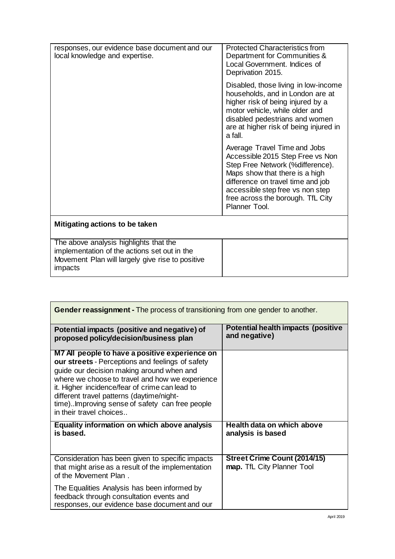| responses, our evidence base document and our<br>local knowledge and expertise.                                                                       | <b>Protected Characteristics from</b><br>Department for Communities &<br>Local Government. Indices of<br>Deprivation 2015.                                                                                                                                            |
|-------------------------------------------------------------------------------------------------------------------------------------------------------|-----------------------------------------------------------------------------------------------------------------------------------------------------------------------------------------------------------------------------------------------------------------------|
|                                                                                                                                                       | Disabled, those living in low-income<br>households, and in London are at<br>higher risk of being injured by a<br>motor vehicle, while older and<br>disabled pedestrians and women<br>are at higher risk of being injured in<br>a fall.                                |
|                                                                                                                                                       | Average Travel Time and Jobs<br>Accessible 2015 Step Free vs Non<br>Step Free Network (%difference).<br>Maps show that there is a high<br>difference on travel time and job<br>accessible step free vs non step<br>free across the borough. TfL City<br>Planner Tool. |
| Mitigating actions to be taken                                                                                                                        |                                                                                                                                                                                                                                                                       |
| The above analysis highlights that the<br>implementation of the actions set out in the<br>Movement Plan will largely give rise to positive<br>impacts |                                                                                                                                                                                                                                                                       |

| <b>Gender reassignment - The process of transitioning from one gender to another.</b>                                                                                                                                                                                                                                                                                          |                                                            |  |  |
|--------------------------------------------------------------------------------------------------------------------------------------------------------------------------------------------------------------------------------------------------------------------------------------------------------------------------------------------------------------------------------|------------------------------------------------------------|--|--|
| Potential impacts (positive and negative) of<br>proposed policy/decision/business plan                                                                                                                                                                                                                                                                                         | Potential health impacts (positive<br>and negative)        |  |  |
| M7 All people to have a positive experience on<br>our streets - Perceptions and feelings of safety<br>guide our decision making around when and<br>where we choose to travel and how we experience<br>it. Higher incidence/fear of crime can lead to<br>different travel patterns (daytime/night-<br>time)Improving sense of safety can free people<br>in their travel choices |                                                            |  |  |
| Equality information on which above analysis<br>is based.                                                                                                                                                                                                                                                                                                                      | Health data on which above<br>analysis is based            |  |  |
| Consideration has been given to specific impacts<br>that might arise as a result of the implementation<br>of the Movement Plan.                                                                                                                                                                                                                                                | Street Crime Count (2014/15)<br>map. TfL City Planner Tool |  |  |
| The Equalities Analysis has been informed by<br>feedback through consultation events and<br>responses, our evidence base document and our                                                                                                                                                                                                                                      |                                                            |  |  |

ľ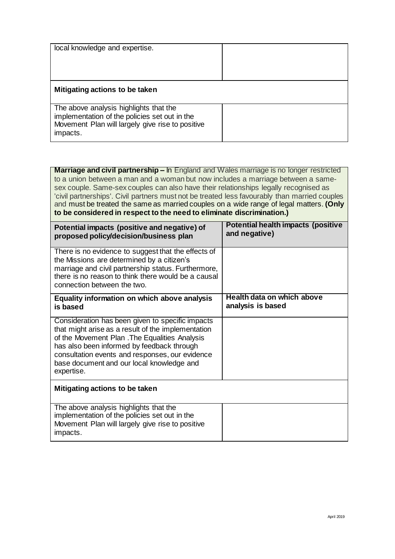| local knowledge and expertise.                                                                                                                          |  |
|---------------------------------------------------------------------------------------------------------------------------------------------------------|--|
| Mitigating actions to be taken                                                                                                                          |  |
| The above analysis highlights that the<br>implementation of the policies set out in the<br>Movement Plan will largely give rise to positive<br>impacts. |  |

**Marriage and civil partnership –** In England and Wales marriage is no longer restricted to a union between a man and a woman but now includes a marriage between a samesex couple. Same-sex couples can also have their relationships legally recognised as 'civil partnerships'. Civil partners must not be treated less favourably than married couples and must be treated the same as married couples on a wide range of legal matters. **(Only to be considered in respect to the need to eliminate discrimination.)** 

| Potential impacts (positive and negative) of<br>proposed policy/decision/business plan                                                                                                                                                                                                                               | Potential health impacts (positive<br>and negative) |
|----------------------------------------------------------------------------------------------------------------------------------------------------------------------------------------------------------------------------------------------------------------------------------------------------------------------|-----------------------------------------------------|
| There is no evidence to suggest that the effects of<br>the Missions are determined by a citizen's<br>marriage and civil partnership status. Furthermore,<br>there is no reason to think there would be a causal<br>connection between the two.                                                                       |                                                     |
| Equality information on which above analysis<br>is based                                                                                                                                                                                                                                                             | Health data on which above<br>analysis is based     |
| Consideration has been given to specific impacts<br>that might arise as a result of the implementation<br>of the Movement Plan . The Equalities Analysis<br>has also been informed by feedback through<br>consultation events and responses, our evidence<br>base document and our local knowledge and<br>expertise. |                                                     |
| Mitigating actions to be taken                                                                                                                                                                                                                                                                                       |                                                     |
| The above analysis highlights that the<br>implementation of the policies set out in the<br>Movement Plan will largely give rise to positive<br>impacts.                                                                                                                                                              |                                                     |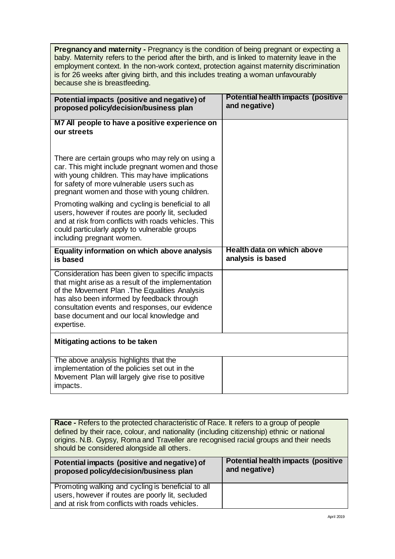**Pregnancy and maternity -** Pregnancy is the condition of being pregnant or expecting a baby. Maternity refers to the period after the birth, and is linked to maternity leave in the employment context. In the non-work context, protection against maternity discrimination is for 26 weeks after giving birth, and this includes treating a woman unfavourably because she is breastfeeding.

| Potential impacts (positive and negative) of<br>proposed policy/decision/business plan                                                                                                                                                                                                                               | <b>Potential health impacts (positive</b><br>and negative) |
|----------------------------------------------------------------------------------------------------------------------------------------------------------------------------------------------------------------------------------------------------------------------------------------------------------------------|------------------------------------------------------------|
| M7 All people to have a positive experience on<br>our streets                                                                                                                                                                                                                                                        |                                                            |
| There are certain groups who may rely on using a<br>car. This might include pregnant women and those<br>with young children. This may have implications<br>for safety of more vulnerable users such as<br>pregnant women and those with young children.                                                              |                                                            |
| Promoting walking and cycling is beneficial to all<br>users, however if routes are poorly lit, secluded<br>and at risk from conflicts with roads vehicles. This<br>could particularly apply to vulnerable groups<br>including pregnant women.                                                                        |                                                            |
| Equality information on which above analysis                                                                                                                                                                                                                                                                         | Health data on which above                                 |
| is based                                                                                                                                                                                                                                                                                                             | analysis is based                                          |
| Consideration has been given to specific impacts<br>that might arise as a result of the implementation<br>of the Movement Plan . The Equalities Analysis<br>has also been informed by feedback through<br>consultation events and responses, our evidence<br>base document and our local knowledge and<br>expertise. |                                                            |
| Mitigating actions to be taken<br>The above analysis highlights that the                                                                                                                                                                                                                                             |                                                            |

**Race -** Refers to the protected characteristic of Race. It refers to a group of people defined by their race, colour, and nationality (including citizenship) ethnic or national origins. N.B. Gypsy, Roma and Traveller are recognised racial groups and their needs should be considered alongside all others.

| Potential impacts (positive and negative) of                                                                                                               | Potential health impacts (positive |
|------------------------------------------------------------------------------------------------------------------------------------------------------------|------------------------------------|
| proposed policy/decision/business plan                                                                                                                     | and negative)                      |
| Promoting walking and cycling is beneficial to all<br>users, however if routes are poorly lit, secluded<br>and at risk from conflicts with roads vehicles. |                                    |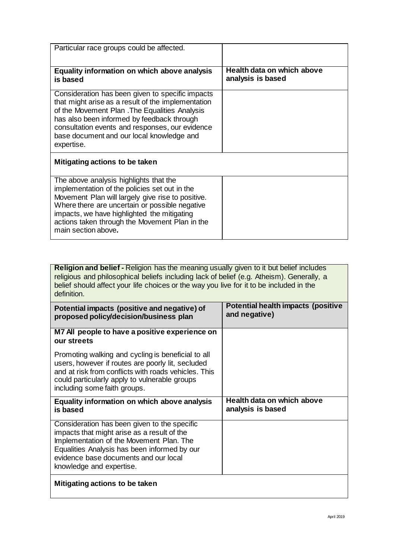| Particular race groups could be affected.                                                                                                                                                                                                                                                                              |                                                 |  |  |
|------------------------------------------------------------------------------------------------------------------------------------------------------------------------------------------------------------------------------------------------------------------------------------------------------------------------|-------------------------------------------------|--|--|
| Equality information on which above analysis<br>is based                                                                                                                                                                                                                                                               | Health data on which above<br>analysis is based |  |  |
| Consideration has been given to specific impacts<br>that might arise as a result of the implementation<br>of the Movement Plan . The Equalities Analysis<br>has also been informed by feedback through<br>consultation events and responses, our evidence<br>base document and our local knowledge and<br>expertise.   |                                                 |  |  |
| Mitigating actions to be taken                                                                                                                                                                                                                                                                                         |                                                 |  |  |
| The above analysis highlights that the<br>implementation of the policies set out in the<br>Movement Plan will largely give rise to positive.<br>Where there are uncertain or possible negative<br>impacts, we have highlighted the mitigating<br>actions taken through the Movement Plan in the<br>main section above. |                                                 |  |  |

**Religion and belief -** Religion has the meaning usually given to it but belief includes religious and philosophical beliefs including lack of belief (e.g. Atheism). Generally, a belief should affect your life choices or the way you live for it to be included in the definition.

| Potential impacts (positive and negative) of<br>proposed policy/decision/business plan                                                                                                                                                                       | Potential health impacts (positive<br>and negative) |
|--------------------------------------------------------------------------------------------------------------------------------------------------------------------------------------------------------------------------------------------------------------|-----------------------------------------------------|
| M7 All people to have a positive experience on<br>our streets                                                                                                                                                                                                |                                                     |
| Promoting walking and cycling is beneficial to all<br>users, however if routes are poorly lit, secluded<br>and at risk from conflicts with roads vehicles. This<br>could particularly apply to vulnerable groups<br>including some faith groups.             |                                                     |
| Equality information on which above analysis<br>is based                                                                                                                                                                                                     | Health data on which above<br>analysis is based     |
| Consideration has been given to the specific<br>impacts that might arise as a result of the<br>Implementation of the Movement Plan. The<br>Equalities Analysis has been informed by our<br>evidence base documents and our local<br>knowledge and expertise. |                                                     |
| Mitigating actions to be taken                                                                                                                                                                                                                               |                                                     |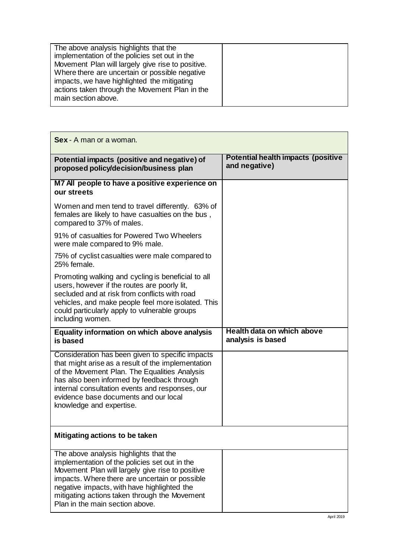Г

| Sex - A man or a woman.                                                                                                                                                                                                                                                                                                          |                                                            |
|----------------------------------------------------------------------------------------------------------------------------------------------------------------------------------------------------------------------------------------------------------------------------------------------------------------------------------|------------------------------------------------------------|
| Potential impacts (positive and negative) of<br>proposed policy/decision/business plan                                                                                                                                                                                                                                           | <b>Potential health impacts (positive</b><br>and negative) |
| M7 All people to have a positive experience on<br>our streets                                                                                                                                                                                                                                                                    |                                                            |
| Women and men tend to travel differently. 63% of<br>females are likely to have casualties on the bus,<br>compared to 37% of males.                                                                                                                                                                                               |                                                            |
| 91% of casualties for Powered Two Wheelers<br>were male compared to 9% male.                                                                                                                                                                                                                                                     |                                                            |
| 75% of cyclist casualties were male compared to<br>25% female.                                                                                                                                                                                                                                                                   |                                                            |
| Promoting walking and cycling is beneficial to all<br>users, however if the routes are poorly lit,<br>secluded and at risk from conflicts with road<br>vehicles, and make people feel more isolated. This<br>could particularly apply to vulnerable groups<br>including women.                                                   |                                                            |
| Equality information on which above analysis<br>is based                                                                                                                                                                                                                                                                         | Health data on which above<br>analysis is based            |
| Consideration has been given to specific impacts<br>that might arise as a result of the implementation<br>of the Movement Plan. The Equalities Analysis<br>has also been informed by feedback through<br>internal consultation events and responses, our<br>evidence base documents and our local<br>knowledge and expertise.    |                                                            |
| Mitigating actions to be taken                                                                                                                                                                                                                                                                                                   |                                                            |
| The above analysis highlights that the<br>implementation of the policies set out in the<br>Movement Plan will largely give rise to positive<br>impacts. Where there are uncertain or possible<br>negative impacts, with have highlighted the<br>mitigating actions taken through the Movement<br>Plan in the main section above. |                                                            |

 $\overline{\phantom{0}}$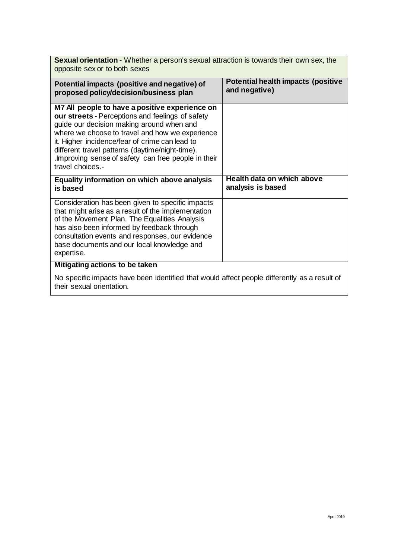| <b>Sexual orientation</b> - Whether a person's sexual attraction is towards their own sex, the<br>opposite sex or to both sexes                                                                                                                                                                                                                                                   |                                                     |  |  |
|-----------------------------------------------------------------------------------------------------------------------------------------------------------------------------------------------------------------------------------------------------------------------------------------------------------------------------------------------------------------------------------|-----------------------------------------------------|--|--|
| Potential impacts (positive and negative) of<br>proposed policy/decision/business plan                                                                                                                                                                                                                                                                                            | Potential health impacts (positive<br>and negative) |  |  |
| M7 All people to have a positive experience on<br>our streets - Perceptions and feelings of safety<br>guide our decision making around when and<br>where we choose to travel and how we experience<br>it. Higher incidence/fear of crime can lead to<br>different travel patterns (daytime/night-time).<br>Improving sense of safety can free people in their<br>travel choices.- |                                                     |  |  |
| Equality information on which above analysis                                                                                                                                                                                                                                                                                                                                      | Health data on which above                          |  |  |
| is based                                                                                                                                                                                                                                                                                                                                                                          | analysis is based                                   |  |  |
| Consideration has been given to specific impacts<br>that might arise as a result of the implementation<br>of the Movement Plan. The Equalities Analysis<br>has also been informed by feedback through<br>consultation events and responses, our evidence<br>base documents and our local knowledge and<br>expertise.                                                              |                                                     |  |  |
| Mitigating actions to be taken                                                                                                                                                                                                                                                                                                                                                    |                                                     |  |  |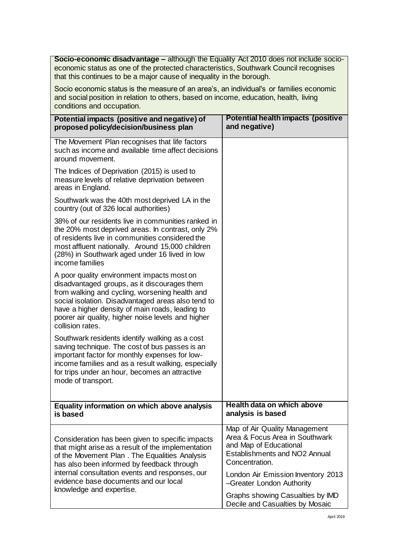**Socio-economic disadvantage –** although the Equality Act 2010 does not include socioeconomic status as one of the protected characteristics, Southwark Council recognises that this continues to be a major cause of inequality in the borough.

Socio economic status is the measure of an area's, an individual's or families economic and social position in relation to others, based on income, education, health, living conditions and occupation.

| Potential impacts (positive and negative) of<br>proposed policy/decision/business plan                                                                                                                                                                                                                                          | <b>Potential health impacts (positive</b><br>and negative)                                                                                                                         |
|---------------------------------------------------------------------------------------------------------------------------------------------------------------------------------------------------------------------------------------------------------------------------------------------------------------------------------|------------------------------------------------------------------------------------------------------------------------------------------------------------------------------------|
| The Movement Plan recognises that life factors<br>such as income and available time affect decisions<br>around movement.                                                                                                                                                                                                        |                                                                                                                                                                                    |
| The Indices of Deprivation (2015) is used to<br>measure levels of relative deprivation between<br>areas in England.                                                                                                                                                                                                             |                                                                                                                                                                                    |
| Southwark was the 40th most deprived LA in the<br>country (out of 326 local authorities)                                                                                                                                                                                                                                        |                                                                                                                                                                                    |
| 38% of our residents live in communities ranked in<br>the 20% most deprived areas. In contrast, only 2%<br>of residents live in communities considered the<br>most affluent nationally. Around 15,000 children<br>(28%) in Southwark aged under 16 lived in low<br>income families                                              |                                                                                                                                                                                    |
| A poor quality environment impacts most on<br>disadvantaged groups, as it discourages them<br>from walking and cycling, worsening health and<br>social isolation. Disadvantaged areas also tend to<br>have a higher density of main roads, leading to<br>poorer air quality, higher noise levels and higher<br>collision rates. |                                                                                                                                                                                    |
| Southwark residents identify walking as a cost<br>saving technique. The cost of bus passes is an<br>important factor for monthly expenses for low-<br>income families and as a result walking, especially<br>for trips under an hour, becomes an attractive<br>mode of transport.                                               |                                                                                                                                                                                    |
| Equality information on which above analysis<br>is based                                                                                                                                                                                                                                                                        | Health data on which above<br>analysis is based                                                                                                                                    |
| Consideration has been given to specific impacts<br>that might arise as a result of the implementation<br>of the Movement Plan. The Equalities Analysis<br>has also been informed by feedback through<br>internal consultation events and responses, our                                                                        | Map of Air Quality Management<br>Area & Focus Area in Southwark<br>and Map of Educational<br>Establishments and NO2 Annual<br>Concentration.<br>London Air Emission Inventory 2013 |
| evidence base documents and our local<br>knowledge and expertise.                                                                                                                                                                                                                                                               | -Greater London Authority<br>Graphs showing Casualties by IMD<br>Decile and Casualties by Mosaic                                                                                   |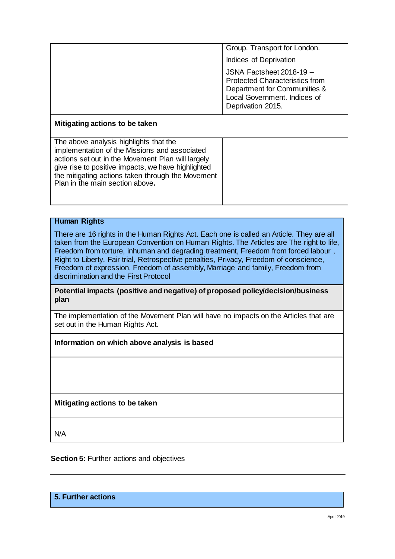|                                                                                                                                                                                                                                                                                            | Group. Transport for London.                                                                                                                           |
|--------------------------------------------------------------------------------------------------------------------------------------------------------------------------------------------------------------------------------------------------------------------------------------------|--------------------------------------------------------------------------------------------------------------------------------------------------------|
|                                                                                                                                                                                                                                                                                            | Indices of Deprivation                                                                                                                                 |
|                                                                                                                                                                                                                                                                                            | JSNA Factsheet 2018-19 -<br><b>Protected Characteristics from</b><br>Department for Communities &<br>Local Government. Indices of<br>Deprivation 2015. |
| Mitigating actions to be taken                                                                                                                                                                                                                                                             |                                                                                                                                                        |
| The above analysis highlights that the<br>implementation of the Missions and associated<br>actions set out in the Movement Plan will largely<br>give rise to positive impacts, we have highlighted<br>the mitigating actions taken through the Movement<br>Plan in the main section above. |                                                                                                                                                        |

#### **Human Rights**

There are 16 rights in the Human Rights Act. Each one is called an Article. They are all taken from the European Convention on Human Rights. The Articles are The right to life, Freedom from torture, inhuman and degrading treatment, Freedom from forced labour , Right to Liberty, Fair trial, Retrospective penalties, Privacy, Freedom of conscience, Freedom of expression, Freedom of assembly, Marriage and family, Freedom from discrimination and the First Protocol

**Potential impacts (positive and negative) of proposed policy/decision/business plan**

The implementation of the Movement Plan will have no impacts on the Articles that are set out in the Human Rights Act.

### **Information on which above analysis is based**

**Mitigating actions to be taken**

N/A

**Section 5: Further actions and objectives** 

**5. Further actions**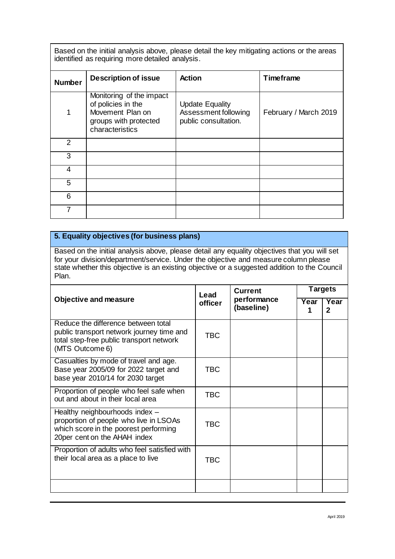Based on the initial analysis above, please detail the key mitigating actions or the areas identified as requiring more detailed analysis.

| <b>Number</b> | <b>Description of issue</b>                                                                                    | <b>Action</b>                                                          | <b>Timeframe</b>      |
|---------------|----------------------------------------------------------------------------------------------------------------|------------------------------------------------------------------------|-----------------------|
| 1             | Monitoring of the impact<br>of policies in the<br>Movement Plan on<br>groups with protected<br>characteristics | <b>Update Equality</b><br>Assessment following<br>public consultation. | February / March 2019 |
| 2             |                                                                                                                |                                                                        |                       |
| 3             |                                                                                                                |                                                                        |                       |
| 4             |                                                                                                                |                                                                        |                       |
| 5             |                                                                                                                |                                                                        |                       |
| 6             |                                                                                                                |                                                                        |                       |
| 7             |                                                                                                                |                                                                        |                       |

## **5. Equality objectives (for business plans)**

Based on the initial analysis above, please detail any equality objectives that you will set for your division/department/service. Under the objective and measure column please state whether this objective is an existing objective or a suggested addition to the Council Plan.

|                                                                                                                                                   | Lead       | <b>Current</b>            | <b>Targets</b> |           |
|---------------------------------------------------------------------------------------------------------------------------------------------------|------------|---------------------------|----------------|-----------|
| <b>Objective and measure</b><br>officer                                                                                                           |            | performance<br>(baseline) | Year           | Year<br>2 |
| Reduce the difference between total<br>public transport network journey time and<br>total step-free public transport network<br>(MTS Outcome 6)   | <b>TBC</b> |                           |                |           |
| Casualties by mode of travel and age.<br>Base year 2005/09 for 2022 target and<br>base year 2010/14 for 2030 target                               | <b>TBC</b> |                           |                |           |
| Proportion of people who feel safe when<br>out and about in their local area                                                                      | <b>TBC</b> |                           |                |           |
| Healthy neighbourhoods index -<br>proportion of people who live in LSOAs<br>which score in the poorest performing<br>20per cent on the AHAH index | TBC        |                           |                |           |
| Proportion of adults who feel satisfied with<br>their local area as a place to live                                                               | <b>TBC</b> |                           |                |           |
|                                                                                                                                                   |            |                           |                |           |